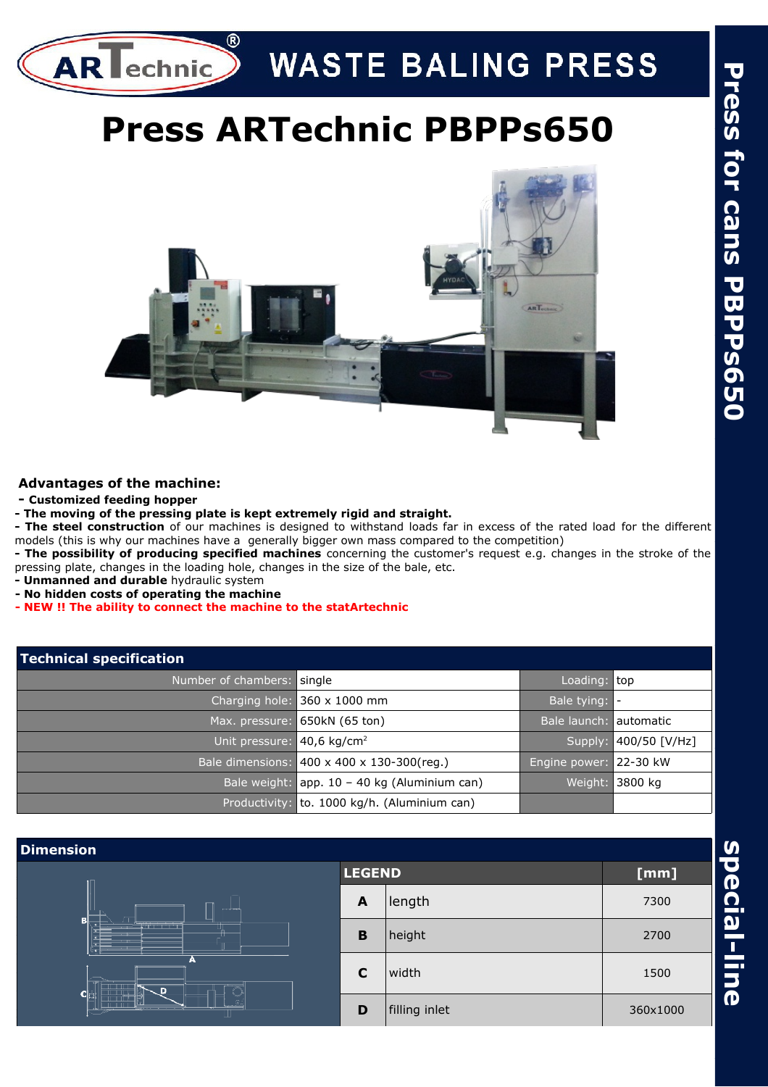

# **WASTE BALING PRESS**

## **Press ARTechnic PBPPs650**



#### **Advantages of the machine:**

- **Customized feeding hopper**
- **The moving of the pressing plate is kept extremely rigid and straight.**

**- The steel construction** of our machines is designed to withstand loads far in excess of the rated load for the different models (this is why our machines have a generally bigger own mass compared to the competition)

**- The possibility of producing specified machines** concerning the customer's request e.g. changes in the stroke of the pressing plate, changes in the loading hole, changes in the size of the bale, etc.

- **Unmanned and durable** hydraulic system
- **No hidden costs of operating the machine**
- **NEW !! The ability to connect the machine to the statArtechnic**

| Technical specification                |                                              |                        |                       |  |  |  |
|----------------------------------------|----------------------------------------------|------------------------|-----------------------|--|--|--|
| Number of chambers: single             |                                              | Loading: top           |                       |  |  |  |
|                                        | Charging hole: $360 \times 1000$ mm          | Bale tying: -          |                       |  |  |  |
|                                        | Max. pressure: 650kN (65 ton)                | Bale launch: automatic |                       |  |  |  |
| Unit pressure: 40,6 kg/cm <sup>2</sup> |                                              |                        | Supply: 400/50 [V/Hz] |  |  |  |
|                                        | Bale dimensions: 400 x 400 x 130-300(reg.)   | Engine power: 22-30 kW |                       |  |  |  |
|                                        | Bale weight: app. 10 - 40 kg (Aluminium can) | Weight:                | 3800 kg               |  |  |  |
|                                        | Productivity: to. 1000 kg/h. (Aluminium can) |                        |                       |  |  |  |

| <b>Dimension</b>                                                           |   |               |          |
|----------------------------------------------------------------------------|---|---------------|----------|
|                                                                            |   | <b>LEGEND</b> | [mm]     |
| <b>Security</b><br>в<br>a di Tanzania di Tanzania di San Francia<br>А<br>D | A | length        | 7300     |
|                                                                            | B | height        | 2700     |
|                                                                            | C | width         | 1500     |
|                                                                            | D | filling inlet | 360×1000 |

**s p e**

**cial-lin**

**e**